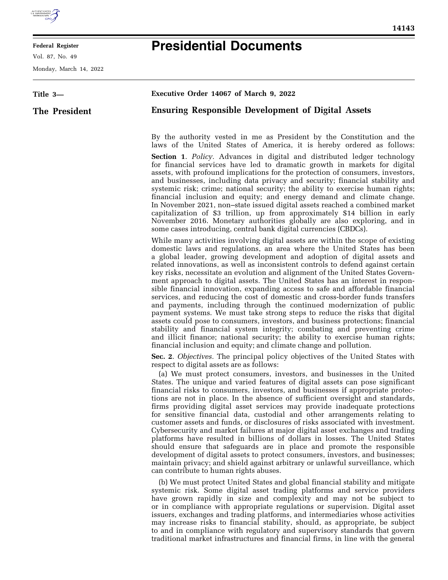

## **Federal Register**

Vol. 87, No. 49

Monday, March 14, 2022

e<br>B

## **Presidential Documents**

| Title 3-      | Executive Order 14067 of March 9, 2022                                                                                                                                                                                                                                                                                                                                                                                                                                                                                                                                                                                                                                                                                                                                                                                                                                                                                                                                                                                                                                                                                                                         |
|---------------|----------------------------------------------------------------------------------------------------------------------------------------------------------------------------------------------------------------------------------------------------------------------------------------------------------------------------------------------------------------------------------------------------------------------------------------------------------------------------------------------------------------------------------------------------------------------------------------------------------------------------------------------------------------------------------------------------------------------------------------------------------------------------------------------------------------------------------------------------------------------------------------------------------------------------------------------------------------------------------------------------------------------------------------------------------------------------------------------------------------------------------------------------------------|
| The President | <b>Ensuring Responsible Development of Digital Assets</b>                                                                                                                                                                                                                                                                                                                                                                                                                                                                                                                                                                                                                                                                                                                                                                                                                                                                                                                                                                                                                                                                                                      |
|               | By the authority vested in me as President by the Constitution and the<br>laws of the United States of America, it is hereby ordered as follows:                                                                                                                                                                                                                                                                                                                                                                                                                                                                                                                                                                                                                                                                                                                                                                                                                                                                                                                                                                                                               |
|               | <b>Section 1.</b> Policy. Advances in digital and distributed ledger technology<br>for financial services have led to dramatic growth in markets for digital<br>assets, with profound implications for the protection of consumers, investors,<br>and businesses, including data privacy and security; financial stability and<br>systemic risk; crime; national security; the ability to exercise human rights;<br>financial inclusion and equity; and energy demand and climate change.<br>In November 2021, non-state issued digital assets reached a combined market<br>capitalization of \$3 trillion, up from approximately \$14 billion in early<br>November 2016. Monetary authorities globally are also exploring, and in<br>some cases introducing, central bank digital currencies (CBDCs).                                                                                                                                                                                                                                                                                                                                                         |
|               | While many activities involving digital assets are within the scope of existing<br>domestic laws and regulations, an area where the United States has been<br>a global leader, growing development and adoption of digital assets and<br>related innovations, as well as inconsistent controls to defend against certain<br>key risks, necessitate an evolution and alignment of the United States Govern-<br>ment approach to digital assets. The United States has an interest in respon-<br>sible financial innovation, expanding access to safe and affordable financial<br>services, and reducing the cost of domestic and cross-border funds transfers<br>and payments, including through the continued modernization of public<br>payment systems. We must take strong steps to reduce the risks that digital<br>assets could pose to consumers, investors, and business protections; financial<br>stability and financial system integrity; combating and preventing crime<br>and illicit finance; national security; the ability to exercise human rights;<br>financial inclusion and equity; and climate change and pollution.                       |
|               | Sec. 2. Objectives. The principal policy objectives of the United States with<br>respect to digital assets are as follows:<br>(a) We must protect consumers, investors, and businesses in the United<br>States. The unique and varied features of digital assets can pose significant<br>financial risks to consumers, investors, and businesses if appropriate protec-<br>tions are not in place. In the absence of sufficient oversight and standards,<br>firms providing digital asset services may provide inadequate protections<br>for sensitive financial data, custodial and other arrangements relating to<br>customer assets and funds, or disclosures of risks associated with investment.<br>Cybersecurity and market failures at major digital asset exchanges and trading<br>platforms have resulted in billions of dollars in losses. The United States<br>should ensure that safeguards are in place and promote the responsible<br>development of digital assets to protect consumers, investors, and businesses;<br>maintain privacy; and shield against arbitrary or unlawful surveillance, which<br>can contribute to human rights abuses. |
|               | (b) We must protect United States and global financial stability and mitigate<br>systemic risk. Some digital asset trading platforms and service providers<br>have grown rapidly in size and complexity and may not be subject to<br>or in compliance with appropriate regulations or supervision. Digital asset<br>issuers, exchanges and trading platforms, and intermediaries whose activities<br>may increase risks to financial stability, should, as appropriate, be subject<br>to and in compliance with regulatory and supervisory standards that govern                                                                                                                                                                                                                                                                                                                                                                                                                                                                                                                                                                                               |

traditional market infrastructures and financial firms, in line with the general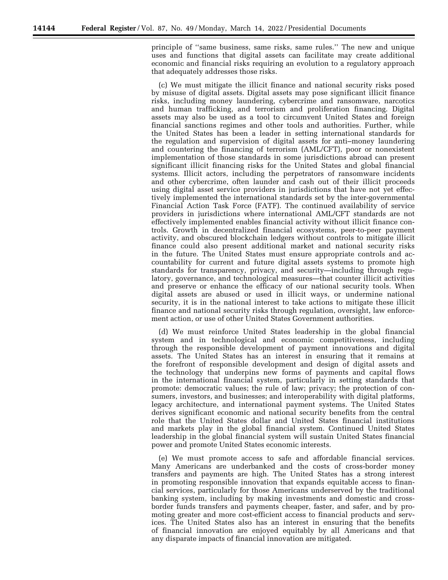principle of ''same business, same risks, same rules.'' The new and unique uses and functions that digital assets can facilitate may create additional economic and financial risks requiring an evolution to a regulatory approach that adequately addresses those risks.

(c) We must mitigate the illicit finance and national security risks posed by misuse of digital assets. Digital assets may pose significant illicit finance risks, including money laundering, cybercrime and ransomware, narcotics and human trafficking, and terrorism and proliferation financing. Digital assets may also be used as a tool to circumvent United States and foreign financial sanctions regimes and other tools and authorities. Further, while the United States has been a leader in setting international standards for the regulation and supervision of digital assets for anti–money laundering and countering the financing of terrorism (AML/CFT), poor or nonexistent implementation of those standards in some jurisdictions abroad can present significant illicit financing risks for the United States and global financial systems. Illicit actors, including the perpetrators of ransomware incidents and other cybercrime, often launder and cash out of their illicit proceeds using digital asset service providers in jurisdictions that have not yet effectively implemented the international standards set by the inter-governmental Financial Action Task Force (FATF). The continued availability of service providers in jurisdictions where international AML/CFT standards are not effectively implemented enables financial activity without illicit finance controls. Growth in decentralized financial ecosystems, peer-to-peer payment activity, and obscured blockchain ledgers without controls to mitigate illicit finance could also present additional market and national security risks in the future. The United States must ensure appropriate controls and accountability for current and future digital assets systems to promote high standards for transparency, privacy, and security—including through regulatory, governance, and technological measures—that counter illicit activities and preserve or enhance the efficacy of our national security tools. When digital assets are abused or used in illicit ways, or undermine national security, it is in the national interest to take actions to mitigate these illicit finance and national security risks through regulation, oversight, law enforcement action, or use of other United States Government authorities.

(d) We must reinforce United States leadership in the global financial system and in technological and economic competitiveness, including through the responsible development of payment innovations and digital assets. The United States has an interest in ensuring that it remains at the forefront of responsible development and design of digital assets and the technology that underpins new forms of payments and capital flows in the international financial system, particularly in setting standards that promote: democratic values; the rule of law; privacy; the protection of consumers, investors, and businesses; and interoperability with digital platforms, legacy architecture, and international payment systems. The United States derives significant economic and national security benefits from the central role that the United States dollar and United States financial institutions and markets play in the global financial system. Continued United States leadership in the global financial system will sustain United States financial power and promote United States economic interests.

(e) We must promote access to safe and affordable financial services. Many Americans are underbanked and the costs of cross-border money transfers and payments are high. The United States has a strong interest in promoting responsible innovation that expands equitable access to financial services, particularly for those Americans underserved by the traditional banking system, including by making investments and domestic and crossborder funds transfers and payments cheaper, faster, and safer, and by promoting greater and more cost-efficient access to financial products and services. The United States also has an interest in ensuring that the benefits of financial innovation are enjoyed equitably by all Americans and that any disparate impacts of financial innovation are mitigated.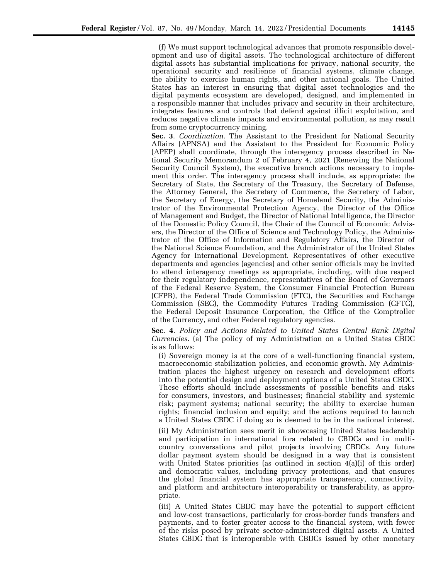(f) We must support technological advances that promote responsible development and use of digital assets. The technological architecture of different digital assets has substantial implications for privacy, national security, the operational security and resilience of financial systems, climate change, the ability to exercise human rights, and other national goals. The United States has an interest in ensuring that digital asset technologies and the digital payments ecosystem are developed, designed, and implemented in a responsible manner that includes privacy and security in their architecture, integrates features and controls that defend against illicit exploitation, and reduces negative climate impacts and environmental pollution, as may result from some cryptocurrency mining.

**Sec. 3**. *Coordination.* The Assistant to the President for National Security Affairs (APNSA) and the Assistant to the President for Economic Policy (APEP) shall coordinate, through the interagency process described in National Security Memorandum 2 of February 4, 2021 (Renewing the National Security Council System), the executive branch actions necessary to implement this order. The interagency process shall include, as appropriate: the Secretary of State, the Secretary of the Treasury, the Secretary of Defense, the Attorney General, the Secretary of Commerce, the Secretary of Labor, the Secretary of Energy, the Secretary of Homeland Security, the Administrator of the Environmental Protection Agency, the Director of the Office of Management and Budget, the Director of National Intelligence, the Director of the Domestic Policy Council, the Chair of the Council of Economic Advisers, the Director of the Office of Science and Technology Policy, the Administrator of the Office of Information and Regulatory Affairs, the Director of the National Science Foundation, and the Administrator of the United States Agency for International Development. Representatives of other executive departments and agencies (agencies) and other senior officials may be invited to attend interagency meetings as appropriate, including, with due respect for their regulatory independence, representatives of the Board of Governors of the Federal Reserve System, the Consumer Financial Protection Bureau (CFPB), the Federal Trade Commission (FTC), the Securities and Exchange Commission (SEC), the Commodity Futures Trading Commission (CFTC), the Federal Deposit Insurance Corporation, the Office of the Comptroller of the Currency, and other Federal regulatory agencies.

**Sec. 4**. *Policy and Actions Related to United States Central Bank Digital Currencies.* (a) The policy of my Administration on a United States CBDC is as follows:

(i) Sovereign money is at the core of a well-functioning financial system, macroeconomic stabilization policies, and economic growth. My Administration places the highest urgency on research and development efforts into the potential design and deployment options of a United States CBDC. These efforts should include assessments of possible benefits and risks for consumers, investors, and businesses; financial stability and systemic risk; payment systems; national security; the ability to exercise human rights; financial inclusion and equity; and the actions required to launch a United States CBDC if doing so is deemed to be in the national interest.

(ii) My Administration sees merit in showcasing United States leadership and participation in international fora related to CBDCs and in multicountry conversations and pilot projects involving CBDCs. Any future dollar payment system should be designed in a way that is consistent with United States priorities (as outlined in section 4(a)(i) of this order) and democratic values, including privacy protections, and that ensures the global financial system has appropriate transparency, connectivity, and platform and architecture interoperability or transferability, as appropriate.

(iii) A United States CBDC may have the potential to support efficient and low-cost transactions, particularly for cross-border funds transfers and payments, and to foster greater access to the financial system, with fewer of the risks posed by private sector-administered digital assets. A United States CBDC that is interoperable with CBDCs issued by other monetary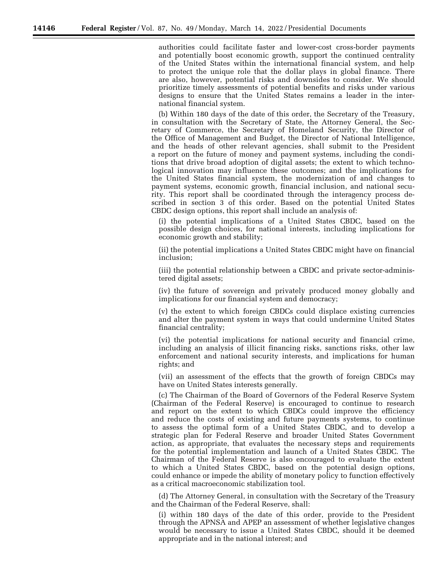authorities could facilitate faster and lower-cost cross-border payments and potentially boost economic growth, support the continued centrality of the United States within the international financial system, and help to protect the unique role that the dollar plays in global finance. There are also, however, potential risks and downsides to consider. We should prioritize timely assessments of potential benefits and risks under various designs to ensure that the United States remains a leader in the international financial system.

(b) Within 180 days of the date of this order, the Secretary of the Treasury, in consultation with the Secretary of State, the Attorney General, the Secretary of Commerce, the Secretary of Homeland Security, the Director of the Office of Management and Budget, the Director of National Intelligence, and the heads of other relevant agencies, shall submit to the President a report on the future of money and payment systems, including the conditions that drive broad adoption of digital assets; the extent to which technological innovation may influence these outcomes; and the implications for the United States financial system, the modernization of and changes to payment systems, economic growth, financial inclusion, and national security. This report shall be coordinated through the interagency process described in section 3 of this order. Based on the potential United States CBDC design options, this report shall include an analysis of:

(i) the potential implications of a United States CBDC, based on the possible design choices, for national interests, including implications for economic growth and stability;

(ii) the potential implications a United States CBDC might have on financial inclusion;

(iii) the potential relationship between a CBDC and private sector-administered digital assets;

(iv) the future of sovereign and privately produced money globally and implications for our financial system and democracy;

(v) the extent to which foreign CBDCs could displace existing currencies and alter the payment system in ways that could undermine United States financial centrality;

(vi) the potential implications for national security and financial crime, including an analysis of illicit financing risks, sanctions risks, other law enforcement and national security interests, and implications for human rights; and

(vii) an assessment of the effects that the growth of foreign CBDCs may have on United States interests generally.

(c) The Chairman of the Board of Governors of the Federal Reserve System (Chairman of the Federal Reserve) is encouraged to continue to research and report on the extent to which CBDCs could improve the efficiency and reduce the costs of existing and future payments systems, to continue to assess the optimal form of a United States CBDC, and to develop a strategic plan for Federal Reserve and broader United States Government action, as appropriate, that evaluates the necessary steps and requirements for the potential implementation and launch of a United States CBDC. The Chairman of the Federal Reserve is also encouraged to evaluate the extent to which a United States CBDC, based on the potential design options, could enhance or impede the ability of monetary policy to function effectively as a critical macroeconomic stabilization tool.

(d) The Attorney General, in consultation with the Secretary of the Treasury and the Chairman of the Federal Reserve, shall:

(i) within 180 days of the date of this order, provide to the President through the APNSA and APEP an assessment of whether legislative changes would be necessary to issue a United States CBDC, should it be deemed appropriate and in the national interest; and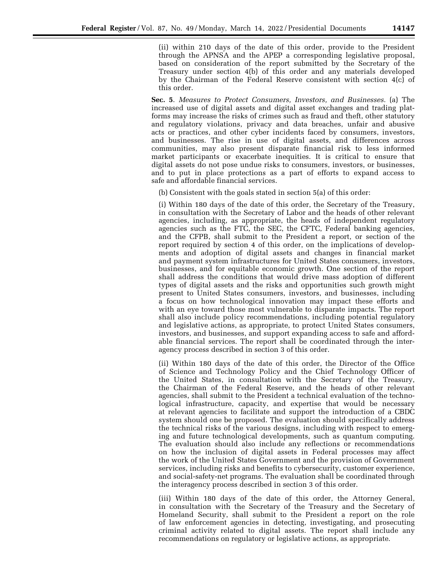(ii) within 210 days of the date of this order, provide to the President through the APNSA and the APEP a corresponding legislative proposal, based on consideration of the report submitted by the Secretary of the Treasury under section 4(b) of this order and any materials developed by the Chairman of the Federal Reserve consistent with section 4(c) of this order.

**Sec. 5**. *Measures to Protect Consumers, Investors, and Businesses.* (a) The increased use of digital assets and digital asset exchanges and trading platforms may increase the risks of crimes such as fraud and theft, other statutory and regulatory violations, privacy and data breaches, unfair and abusive acts or practices, and other cyber incidents faced by consumers, investors, and businesses. The rise in use of digital assets, and differences across communities, may also present disparate financial risk to less informed market participants or exacerbate inequities. It is critical to ensure that digital assets do not pose undue risks to consumers, investors, or businesses, and to put in place protections as a part of efforts to expand access to safe and affordable financial services.

(b) Consistent with the goals stated in section 5(a) of this order:

(i) Within 180 days of the date of this order, the Secretary of the Treasury, in consultation with the Secretary of Labor and the heads of other relevant agencies, including, as appropriate, the heads of independent regulatory agencies such as the FTC, the SEC, the CFTC, Federal banking agencies, and the CFPB, shall submit to the President a report, or section of the report required by section 4 of this order, on the implications of developments and adoption of digital assets and changes in financial market and payment system infrastructures for United States consumers, investors, businesses, and for equitable economic growth. One section of the report shall address the conditions that would drive mass adoption of different types of digital assets and the risks and opportunities such growth might present to United States consumers, investors, and businesses, including a focus on how technological innovation may impact these efforts and with an eye toward those most vulnerable to disparate impacts. The report shall also include policy recommendations, including potential regulatory and legislative actions, as appropriate, to protect United States consumers, investors, and businesses, and support expanding access to safe and affordable financial services. The report shall be coordinated through the interagency process described in section 3 of this order.

(ii) Within 180 days of the date of this order, the Director of the Office of Science and Technology Policy and the Chief Technology Officer of the United States, in consultation with the Secretary of the Treasury, the Chairman of the Federal Reserve, and the heads of other relevant agencies, shall submit to the President a technical evaluation of the technological infrastructure, capacity, and expertise that would be necessary at relevant agencies to facilitate and support the introduction of a CBDC system should one be proposed. The evaluation should specifically address the technical risks of the various designs, including with respect to emerging and future technological developments, such as quantum computing. The evaluation should also include any reflections or recommendations on how the inclusion of digital assets in Federal processes may affect the work of the United States Government and the provision of Government services, including risks and benefits to cybersecurity, customer experience, and social-safety-net programs. The evaluation shall be coordinated through the interagency process described in section 3 of this order.

(iii) Within 180 days of the date of this order, the Attorney General, in consultation with the Secretary of the Treasury and the Secretary of Homeland Security, shall submit to the President a report on the role of law enforcement agencies in detecting, investigating, and prosecuting criminal activity related to digital assets. The report shall include any recommendations on regulatory or legislative actions, as appropriate.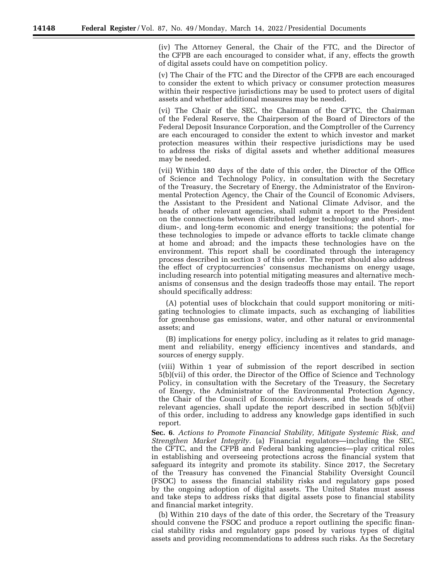(iv) The Attorney General, the Chair of the FTC, and the Director of the CFPB are each encouraged to consider what, if any, effects the growth of digital assets could have on competition policy.

(v) The Chair of the FTC and the Director of the CFPB are each encouraged to consider the extent to which privacy or consumer protection measures within their respective jurisdictions may be used to protect users of digital assets and whether additional measures may be needed.

(vi) The Chair of the SEC, the Chairman of the CFTC, the Chairman of the Federal Reserve, the Chairperson of the Board of Directors of the Federal Deposit Insurance Corporation, and the Comptroller of the Currency are each encouraged to consider the extent to which investor and market protection measures within their respective jurisdictions may be used to address the risks of digital assets and whether additional measures may be needed.

(vii) Within 180 days of the date of this order, the Director of the Office of Science and Technology Policy, in consultation with the Secretary of the Treasury, the Secretary of Energy, the Administrator of the Environmental Protection Agency, the Chair of the Council of Economic Advisers, the Assistant to the President and National Climate Advisor, and the heads of other relevant agencies, shall submit a report to the President on the connections between distributed ledger technology and short-, medium-, and long-term economic and energy transitions; the potential for these technologies to impede or advance efforts to tackle climate change at home and abroad; and the impacts these technologies have on the environment. This report shall be coordinated through the interagency process described in section 3 of this order. The report should also address the effect of cryptocurrencies' consensus mechanisms on energy usage, including research into potential mitigating measures and alternative mechanisms of consensus and the design tradeoffs those may entail. The report should specifically address:

(A) potential uses of blockchain that could support monitoring or mitigating technologies to climate impacts, such as exchanging of liabilities for greenhouse gas emissions, water, and other natural or environmental assets; and

(B) implications for energy policy, including as it relates to grid management and reliability, energy efficiency incentives and standards, and sources of energy supply.

(viii) Within 1 year of submission of the report described in section 5(b)(vii) of this order, the Director of the Office of Science and Technology Policy, in consultation with the Secretary of the Treasury, the Secretary of Energy, the Administrator of the Environmental Protection Agency, the Chair of the Council of Economic Advisers, and the heads of other relevant agencies, shall update the report described in section 5(b)(vii) of this order, including to address any knowledge gaps identified in such report.

**Sec. 6**. *Actions to Promote Financial Stability, Mitigate Systemic Risk, and Strengthen Market Integrity.* (a) Financial regulators—including the SEC, the CFTC, and the CFPB and Federal banking agencies—play critical roles in establishing and overseeing protections across the financial system that safeguard its integrity and promote its stability. Since 2017, the Secretary of the Treasury has convened the Financial Stability Oversight Council (FSOC) to assess the financial stability risks and regulatory gaps posed by the ongoing adoption of digital assets. The United States must assess and take steps to address risks that digital assets pose to financial stability and financial market integrity.

(b) Within 210 days of the date of this order, the Secretary of the Treasury should convene the FSOC and produce a report outlining the specific financial stability risks and regulatory gaps posed by various types of digital assets and providing recommendations to address such risks. As the Secretary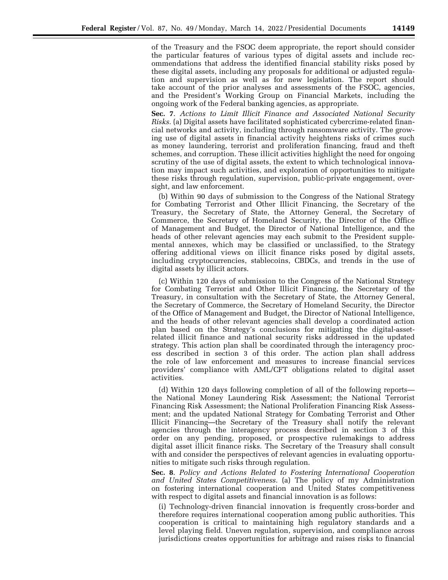of the Treasury and the FSOC deem appropriate, the report should consider the particular features of various types of digital assets and include recommendations that address the identified financial stability risks posed by these digital assets, including any proposals for additional or adjusted regulation and supervision as well as for new legislation. The report should take account of the prior analyses and assessments of the FSOC, agencies, and the President's Working Group on Financial Markets, including the ongoing work of the Federal banking agencies, as appropriate.

**Sec. 7**. *Actions to Limit Illicit Finance and Associated National Security Risks.* (a) Digital assets have facilitated sophisticated cybercrime-related financial networks and activity, including through ransomware activity. The growing use of digital assets in financial activity heightens risks of crimes such as money laundering, terrorist and proliferation financing, fraud and theft schemes, and corruption. These illicit activities highlight the need for ongoing scrutiny of the use of digital assets, the extent to which technological innovation may impact such activities, and exploration of opportunities to mitigate these risks through regulation, supervision, public-private engagement, oversight, and law enforcement.

(b) Within 90 days of submission to the Congress of the National Strategy for Combating Terrorist and Other Illicit Financing, the Secretary of the Treasury, the Secretary of State, the Attorney General, the Secretary of Commerce, the Secretary of Homeland Security, the Director of the Office of Management and Budget, the Director of National Intelligence, and the heads of other relevant agencies may each submit to the President supplemental annexes, which may be classified or unclassified, to the Strategy offering additional views on illicit finance risks posed by digital assets, including cryptocurrencies, stablecoins, CBDCs, and trends in the use of digital assets by illicit actors.

(c) Within 120 days of submission to the Congress of the National Strategy for Combating Terrorist and Other Illicit Financing, the Secretary of the Treasury, in consultation with the Secretary of State, the Attorney General, the Secretary of Commerce, the Secretary of Homeland Security, the Director of the Office of Management and Budget, the Director of National Intelligence, and the heads of other relevant agencies shall develop a coordinated action plan based on the Strategy's conclusions for mitigating the digital-assetrelated illicit finance and national security risks addressed in the updated strategy. This action plan shall be coordinated through the interagency process described in section 3 of this order. The action plan shall address the role of law enforcement and measures to increase financial services providers' compliance with AML/CFT obligations related to digital asset activities.

(d) Within 120 days following completion of all of the following reports the National Money Laundering Risk Assessment; the National Terrorist Financing Risk Assessment; the National Proliferation Financing Risk Assessment; and the updated National Strategy for Combating Terrorist and Other Illicit Financing—the Secretary of the Treasury shall notify the relevant agencies through the interagency process described in section 3 of this order on any pending, proposed, or prospective rulemakings to address digital asset illicit finance risks. The Secretary of the Treasury shall consult with and consider the perspectives of relevant agencies in evaluating opportunities to mitigate such risks through regulation.

**Sec. 8**. *Policy and Actions Related to Fostering International Cooperation and United States Competitiveness.* (a) The policy of my Administration on fostering international cooperation and United States competitiveness with respect to digital assets and financial innovation is as follows:

(i) Technology-driven financial innovation is frequently cross-border and therefore requires international cooperation among public authorities. This cooperation is critical to maintaining high regulatory standards and a level playing field. Uneven regulation, supervision, and compliance across jurisdictions creates opportunities for arbitrage and raises risks to financial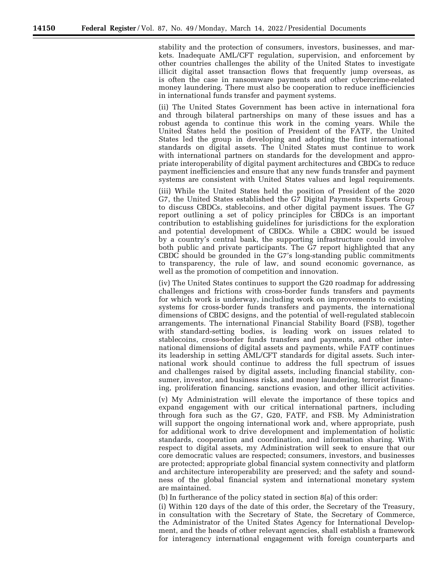stability and the protection of consumers, investors, businesses, and markets. Inadequate AML/CFT regulation, supervision, and enforcement by other countries challenges the ability of the United States to investigate illicit digital asset transaction flows that frequently jump overseas, as is often the case in ransomware payments and other cybercrime-related money laundering. There must also be cooperation to reduce inefficiencies in international funds transfer and payment systems.

(ii) The United States Government has been active in international fora and through bilateral partnerships on many of these issues and has a robust agenda to continue this work in the coming years. While the United States held the position of President of the FATF, the United States led the group in developing and adopting the first international standards on digital assets. The United States must continue to work with international partners on standards for the development and appropriate interoperability of digital payment architectures and CBDCs to reduce payment inefficiencies and ensure that any new funds transfer and payment systems are consistent with United States values and legal requirements.

(iii) While the United States held the position of President of the 2020 G7, the United States established the G7 Digital Payments Experts Group to discuss CBDCs, stablecoins, and other digital payment issues. The G7 report outlining a set of policy principles for CBDCs is an important contribution to establishing guidelines for jurisdictions for the exploration and potential development of CBDCs. While a CBDC would be issued by a country's central bank, the supporting infrastructure could involve both public and private participants. The G7 report highlighted that any CBDC should be grounded in the G7's long-standing public commitments to transparency, the rule of law, and sound economic governance, as well as the promotion of competition and innovation.

(iv) The United States continues to support the G20 roadmap for addressing challenges and frictions with cross-border funds transfers and payments for which work is underway, including work on improvements to existing systems for cross-border funds transfers and payments, the international dimensions of CBDC designs, and the potential of well-regulated stablecoin arrangements. The international Financial Stability Board (FSB), together with standard-setting bodies, is leading work on issues related to stablecoins, cross-border funds transfers and payments, and other international dimensions of digital assets and payments, while FATF continues its leadership in setting AML/CFT standards for digital assets. Such international work should continue to address the full spectrum of issues and challenges raised by digital assets, including financial stability, consumer, investor, and business risks, and money laundering, terrorist financing, proliferation financing, sanctions evasion, and other illicit activities.

(v) My Administration will elevate the importance of these topics and expand engagement with our critical international partners, including through fora such as the G7, G20, FATF, and FSB. My Administration will support the ongoing international work and, where appropriate, push for additional work to drive development and implementation of holistic standards, cooperation and coordination, and information sharing. With respect to digital assets, my Administration will seek to ensure that our core democratic values are respected; consumers, investors, and businesses are protected; appropriate global financial system connectivity and platform and architecture interoperability are preserved; and the safety and soundness of the global financial system and international monetary system are maintained.

(b) In furtherance of the policy stated in section 8(a) of this order:

(i) Within 120 days of the date of this order, the Secretary of the Treasury, in consultation with the Secretary of State, the Secretary of Commerce, the Administrator of the United States Agency for International Development, and the heads of other relevant agencies, shall establish a framework for interagency international engagement with foreign counterparts and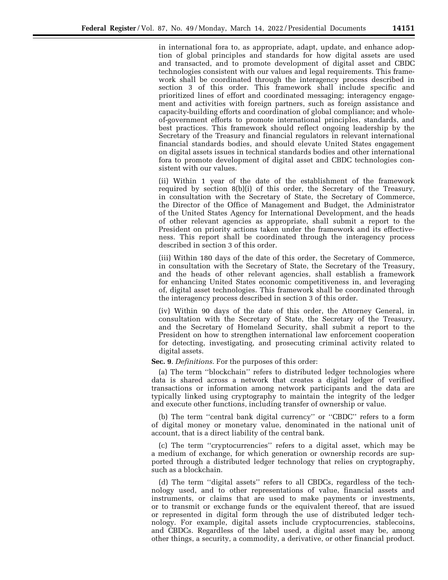in international fora to, as appropriate, adapt, update, and enhance adoption of global principles and standards for how digital assets are used and transacted, and to promote development of digital asset and CBDC technologies consistent with our values and legal requirements. This framework shall be coordinated through the interagency process described in section 3 of this order. This framework shall include specific and prioritized lines of effort and coordinated messaging; interagency engagement and activities with foreign partners, such as foreign assistance and capacity-building efforts and coordination of global compliance; and wholeof-government efforts to promote international principles, standards, and best practices. This framework should reflect ongoing leadership by the Secretary of the Treasury and financial regulators in relevant international financial standards bodies, and should elevate United States engagement on digital assets issues in technical standards bodies and other international fora to promote development of digital asset and CBDC technologies consistent with our values.

(ii) Within 1 year of the date of the establishment of the framework required by section 8(b)(i) of this order, the Secretary of the Treasury, in consultation with the Secretary of State, the Secretary of Commerce, the Director of the Office of Management and Budget, the Administrator of the United States Agency for International Development, and the heads of other relevant agencies as appropriate, shall submit a report to the President on priority actions taken under the framework and its effectiveness. This report shall be coordinated through the interagency process described in section 3 of this order.

(iii) Within 180 days of the date of this order, the Secretary of Commerce, in consultation with the Secretary of State, the Secretary of the Treasury, and the heads of other relevant agencies, shall establish a framework for enhancing United States economic competitiveness in, and leveraging of, digital asset technologies. This framework shall be coordinated through the interagency process described in section 3 of this order.

(iv) Within 90 days of the date of this order, the Attorney General, in consultation with the Secretary of State, the Secretary of the Treasury, and the Secretary of Homeland Security, shall submit a report to the President on how to strengthen international law enforcement cooperation for detecting, investigating, and prosecuting criminal activity related to digital assets.

**Sec. 9**. *Definitions.* For the purposes of this order:

(a) The term ''blockchain'' refers to distributed ledger technologies where data is shared across a network that creates a digital ledger of verified transactions or information among network participants and the data are typically linked using cryptography to maintain the integrity of the ledger and execute other functions, including transfer of ownership or value.

(b) The term ''central bank digital currency'' or ''CBDC'' refers to a form of digital money or monetary value, denominated in the national unit of account, that is a direct liability of the central bank.

(c) The term ''cryptocurrencies'' refers to a digital asset, which may be a medium of exchange, for which generation or ownership records are supported through a distributed ledger technology that relies on cryptography, such as a blockchain.

(d) The term ''digital assets'' refers to all CBDCs, regardless of the technology used, and to other representations of value, financial assets and instruments, or claims that are used to make payments or investments, or to transmit or exchange funds or the equivalent thereof, that are issued or represented in digital form through the use of distributed ledger technology. For example, digital assets include cryptocurrencies, stablecoins, and CBDCs. Regardless of the label used, a digital asset may be, among other things, a security, a commodity, a derivative, or other financial product.